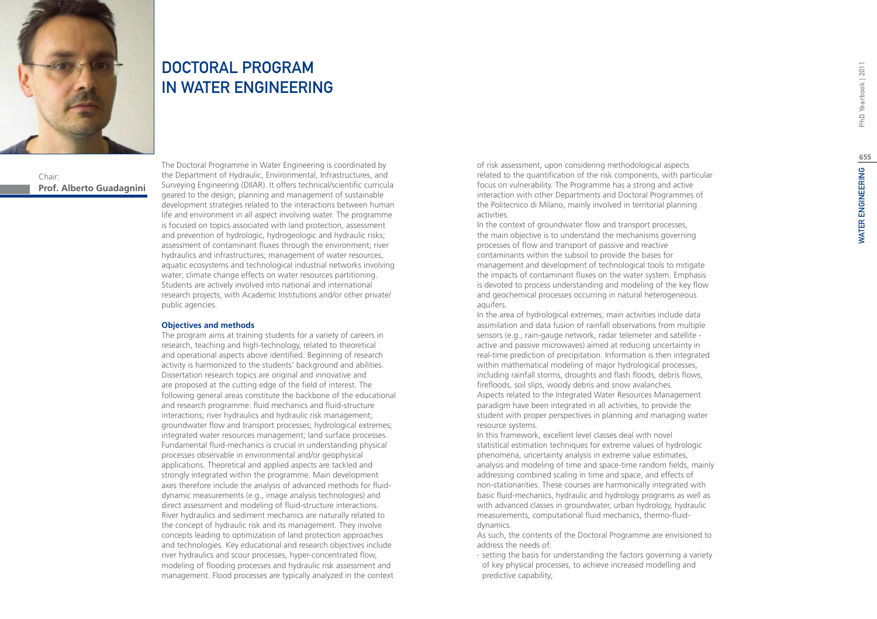# WATER ENGINEERING PhD Yearbook | 2011 **655**WATER ENGINEERING



## Chair: **Prof. Alberto Guadagnini**

**654**

# DOCTORAL PROGRAM IN WATER ENGINEERING

The Doctoral Programme in Water Engineering is coordinated by the Department of Hydraulic, Environmental, Infrastructures, and Surveying Engineering (DIIAR). It offers technical/scientific curricula geared to the design, planning and management of sustainable development strategies related to the interactions between human life and environment in all aspect involving water. The programme is focused on topics associated with land protection, assessment and prevention of hydrologic, hydrogeologic and hydraulic risks; assessment of contaminant fluxes through the environment; river hydraulics and infrastructures; management of water resources, aquatic ecosystems and technological industrial networks involving water; climate change effects on water resources partitioning. Students are actively involved into national and international research projects, with Academic Institutions and/or other private/ public agencies.

### **Objectives and methods**

The program aims at training students for a variety of careers in research, teaching and high-technology, related to theoretical and operational aspects above identified. Beginning of research activity is harmonized to the students' background and abilities. Dissertation research topics are original and innovative and are proposed at the cutting edge of the field of interest. The following general areas constitute the backbone of the educational and research programme: fluid mechanics and fluid-structure interactions; river hydraulics and hydraulic risk management; groundwater flow and transport processes; hydrological extremes; integrated water resources management; land surface processes. Fundamental fluid-mechanics is crucial in understanding physical processes observable in environmental and/or geophysical applications. Theoretical and applied aspects are tackled and strongly integrated within the programme. Main development axes therefore include the analysis of advanced methods for fluiddynamic measurements (e.g., image analysis technologies) and direct assessment and modeling of fluid-structure interactions. River hydraulics and sediment mechanics are naturally related to the concept of hydraulic risk and its management. They involve concepts leading to optimization of land protection approaches and technologies. Key educational and research objectives include river hydraulics and scour processes, hyper-concentrated flow, modeling of flooding processes and hydraulic risk assessment and management. Flood processes are typically analyzed in the context

of risk assessment, upon considering methodological aspects related to the quantification of the risk components, with particular focus on vulnerability. The Programme has a strong and active interaction with other Departments and Doctoral Programmes of the Politecnico di Milano, mainly involved in territorial planning activities.

In the context of groundwater flow and transport processes, the main objective is to understand the mechanisms governing processes of flow and transport of passive and reactive contaminants within the subsoil to provide the bases for management and development of technological tools to mitigate the impacts of contaminant fluxes on the water system. Emphasis is devoted to process understanding and modeling of the key flow and geochemical processes occurring in natural heterogeneous aquifers.

In the area of hydrological extremes, main activities include data assimilation and data fusion of rainfall observations from multiple sensors (e.g., rain-gauge network, radar telemeter and satellite active and passive microwaves) aimed at reducing uncertainty in real-time prediction of precipitation. Information is then integrated within mathematical modeling of major hydrological processes, including rainfall storms, droughts and flash floods, debris flows, firefloods, soil slips, woody debris and snow avalanches. Aspects related to the Integrated Water Resources Management paradigm have been integrated in all activities, to provide the student with proper perspectives in planning and managing water resource systems.

In this framework, excellent level classes deal with novel statistical estimation techniques for extreme values of hydrologic phenomena, uncertainty analysis in extreme value estimates, analysis and modeling of time and space-time random fields, mainly addressing combined scaling in time and space, and effects of non-stationarities. These courses are harmonically integrated with basic fluid-mechanics, hydraulic and hydrology programs as well as with advanced classes in groundwater, urban hydrology, hydraulic measurements, computational fluid mechanics, thermo-fluiddynamics.

As such, the contents of the Doctoral Programme are envisioned to address the needs of:

∙ setting the basis for understanding the factors governing a variety of key physical processes, to achieve increased modelling and predictive capability;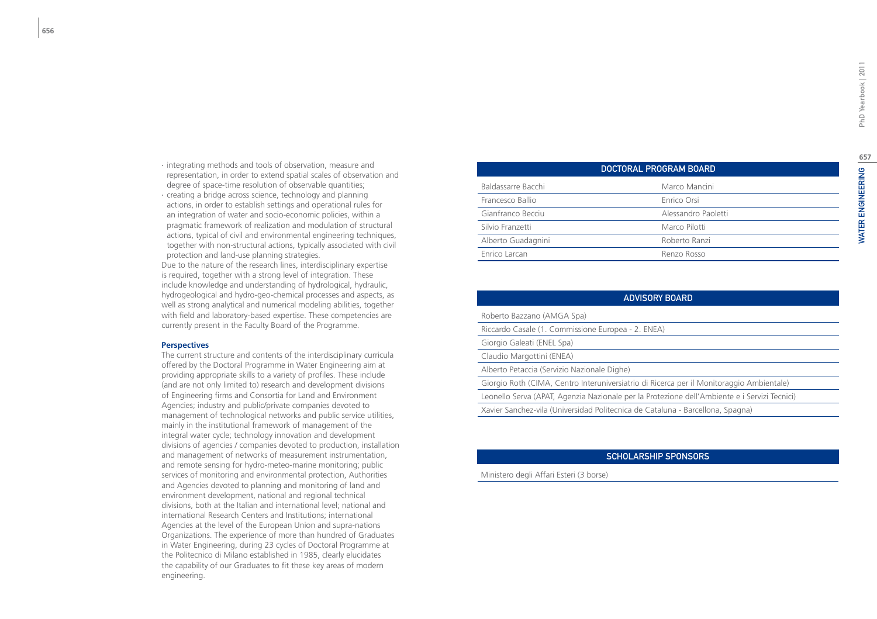- ∙ integrating methods and tools of observation, measure and representation, in order to extend spatial scales of observation and degree of space-time resolution of observable quantities;
- ∙ creating a bridge across science, technology and planning actions, in order to establish settings and operational rules for an integration of water and socio-economic policies, within a pragmatic framework of realization and modulation of structural actions, typical of civil and environmental engineering techniques, together with non-structural actions, typically associated with civil protection and land-use planning strategies.

Due to the nature of the research lines, interdisciplinary expertise is required, together with a strong level of integration. These include knowledge and understanding of hydrological, hydraulic, hydrogeological and hydro-geo-chemical processes and aspects, as well as strong analytical and numerical modeling abilities, together with field and laboratory-based expertise. These competencies are currently present in the Faculty Board of the Programme.

### **Perspectives**

The current structure and contents of the interdisciplinary curricula offered by the Doctoral Programme in Water Engineering aim at providing appropriate skills to a variety of profiles. These include (and are not only limited to) research and development divisions of Engineering firms and Consortia for Land and Environment Agencies; industry and public/private companies devoted to management of technological networks and public service utilities, mainly in the institutional framework of management of the integral water cycle; technology innovation and development divisions of agencies / companies devoted to production, installation and management of networks of measurement instrumentation, and remote sensing for hydro-meteo-marine monitoring; public services of monitoring and environmental protection, Authorities and Agencies devoted to planning and monitoring of land and environment development, national and regional technical divisions, both at the Italian and international level; national and international Research Centers and Institutions; international Agencies at the level of the European Union and supra-nations Organizations. The experience of more than hundred of Graduates in Water Engineering, during 23 cycles of Doctoral Programme at the Politecnico di Milano established in 1985, clearly elucidates the capability of our Graduates to fit these key areas of modern engineering.

|                    | DOCTORAL PROGRAM BOARD |
|--------------------|------------------------|
| Baldassarre Bacchi | Marco Mancini          |
| Francesco Ballio   | Enrico Orsi            |
| Gianfranco Becciu  | Alessandro Paoletti    |
| Silvio Franzetti   | Marco Pilotti          |
| Alberto Guadagnini | Roberto Ranzi          |
| Enrico Larcan      | Renzo Rosso            |
|                    |                        |

| <b>ADVISORY BOARD</b>                                                                        |
|----------------------------------------------------------------------------------------------|
| Roberto Bazzano (AMGA Spa)                                                                   |
| Riccardo Casale (1. Commissione Europea - 2. ENEA)                                           |
| Giorgio Galeati (ENEL Spa)                                                                   |
| Claudio Margottini (ENEA)                                                                    |
| Alberto Petaccia (Servizio Nazionale Dighe)                                                  |
| Giorgio Roth (CIMA, Centro Interuniversiatrio di Ricerca per il Monitoraggio Ambientale)     |
| Leonello Serva (APAT, Agenzia Nazionale per la Protezione dell'Ambiente e i Servizi Tecnici) |
| Xavier Sanchez-vila (Universidad Politecnica de Cataluna - Barcellona, Spagna)               |

### Sc holarship Spon sor s

Ministero degli Affari Esteri (3 borse)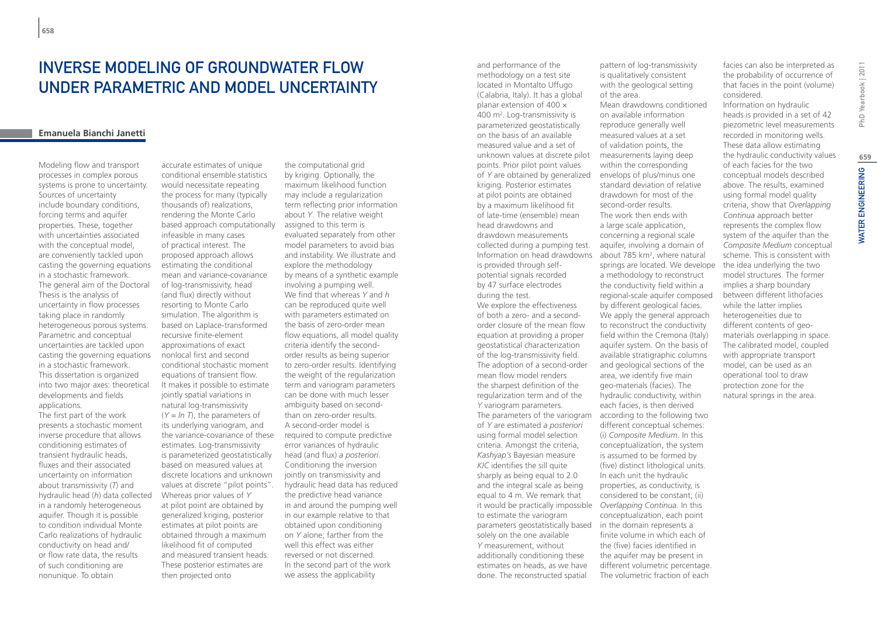# INVERSE MODELING OF GROUNDWATER FLOW UNDER PARAMETRIC AND MODEL UNCERTAINTY

### **Emanuela Bianchi Janetti**

Modeling flow and transport processes in complex porous systems is prone to uncertainty. Sources of uncertainty include boundary conditions, forcing terms and aquifer properties. These, together with uncertainties associated with the conceptual model, are conveniently tackled upon casting the governing equations in a stochastic framework. The general aim of the Doctoral Thesis is the analysis of uncertainty in flow processes taking place in randomly heterogeneous porous systems. Parametric and conceptual uncertainties are tackled upon casting the governing equations in a stochastic framework. This dissertation is organized into two major axes: theoretical developments and fields applications. The first part of the work presents a stochastic moment inverse procedure that allows conditioning estimates of transient hydraulic heads, fluxes and their associated uncertainty on information about transmissivity (*T*) and hydraulic head (*h*) data collected in a randomly heterogeneous aquifer. Though it is possible to condition individual Monte Carlo realizations of hydraulic conductivity on head and/ or flow rate data, the results of such conditioning are nonunique. To obtain

accurate estimates of unique conditional ensemble statistics would necessitate repeating the process for many (typically thousands of) realizations, rendering the Monte Carlo based approach computationally infeasible in many cases of practical interest. The proposed approach allows estimating the conditional mean and variance-covariance of log-transmissivity, head (and flux) directly without resorting to Monte Carlo simulation. The algorithm is based on Laplace-transformed recursive finite-element approximations of exact nonlocal first and second conditional stochastic moment equations of transient flow. It makes it possible to estimate jointly spatial variations in natural log-transmissivity (*Y* = *ln T*), the parameters of its underlying variogram, and the variance-covariance of these estimates. Log-transmissivity is parameterized geostatistically based on measured values at discrete locations and unknown values at discrete "pilot points". Whereas prior values of *Y* at pilot point are obtained by generalized kriging, posterior estimates at pilot points are obtained through a maximum likelihood fit of computed and measured transient heads. These posterior estimates are then projected onto

the computational grid by kriging. Optionally, the maximum likelihood function may include a regularization term reflecting prior information about *Y*. The relative weight assigned to this term is evaluated separately from other model parameters to avoid bias and instability. We illustrate and explore the methodology by means of a synthetic example involving a pumping well. We find that whereas *Y* and *h* can be reproduced quite well with parameters estimated on the basis of zero-order mean flow equations, all model quality criteria identify the secondorder results as being superior to zero-order results. Identifying the weight of the regularization term and variogram parameters can be done with much lesser ambiguity based on secondthan on zero-order results. A second-order model is required to compute predictive error variances of hydraulic head (and flux) *a posteriori*. Conditioning the inversion jointly on transmissivity and hydraulic head data has reduced the predictive head variance in and around the pumping well in our example relative to that obtained upon conditioning on *Y* alone; farther from the well this effect was either reversed or not discerned. In the second part of the work we assess the applicability

and performance of the methodology on a test site located in Montalto Uffugo (Calabria, Italy). It has a global planar extension of 400 × 400 m<sup>2</sup>. Log-transmissivity is parameterized geostatistically on the basis of an available measured value and a set of unknown values at discrete pilot points. Prior pilot point values of *Y* are obtained by generalized kriging. Posterior estimates at pilot points are obtained by a maximum likelihood fit of late-time (ensemble) mean head drawdowns and drawdown measurements collected during a pumping test. Information on head drawdowns is provided through selfpotential signals recorded by 47 surface electrodes during the test. We explore the effectiveness of both a zero- and a secondorder closure of the mean flow equation at providing a proper geostatistical characterization of the log-transmissivity field. The adoption of a second-order mean flow model renders the sharpest definition of the regularization term and of the *Y* variogram parameters. The parameters of the variogram according to the following two of *Y* are estimated *a posteriori* using formal model selection criteria. Amongst the criteria, *Kashyap's* Bayesian measure *KIC* identifies the sill quite sharply as being equal to 2.0 and the integral scale as being equal to 4 m. We remark that it would be practically impossible *Overlapping Continua.* In this to estimate the variogram parameters geostatistically based in the domain represents a solely on the one available *Y* measurement, without additionally conditioning these estimates on heads, as we have done. The reconstructed spatial

pattern of log-transmissivity is qualitatively consistent with the geological setting of the area. Mean drawdowns conditioned on available information reproduce generally well measured values at a set of validation points, the measurements laying deep within the corresponding envelops of plus/minus one standard deviation of relative drawdown for most of the second-order results. The work then ends with a large scale application, concerning a regional scale aquifer, involving a domain of about 785 km<sup>2</sup>, where natural springs are located. We develope a methodology to reconstruct the conductivity field within a regional-scale aquifer composed by different geological facies. We apply the general approach to reconstruct the conductivity field within the Cremona (Italy) aquifer system. On the basis of available stratigraphic columns and geological sections of the area, we identify five main geo-materials (facies). The hydraulic conductivity, within each facies, is then derived different conceptual schemes: (i) *Composite Medium*. In this conceptualization, the system is assumed to be formed by (five) distinct lithological units. In each unit the hydraulic properties, as conductivity, is considered to be constant; (ii) conceptualization, each point finite volume in which each of the (five) facies identified in the aquifer may be present in different volumetric percentage. The volumetric fraction of each

facies can also be interpreted as the probability of occurrence of that facies in the point (volume) considered. Information on hydraulic heads is provided in a set of 42 piezometric level measurements recorded in monitoring wells. These data allow estimating the hydraulic conductivity values of each facies for the two conceptual models described above. The results, examined using formal model quality criteria, show that *Overlapping Continua* approach better represents the complex flow system of the aquifer than the *Composite Medium* conceptual scheme. This is consistent with the idea underlying the two model structures. The former implies a sharp boundary between different lithofacies while the latter implies heterogeneities due to different contents of geomaterials overlapping in space. The calibrated model, coupled with appropriate transport model, can be used as an operational tool to draw protection zone for the natural springs in the area.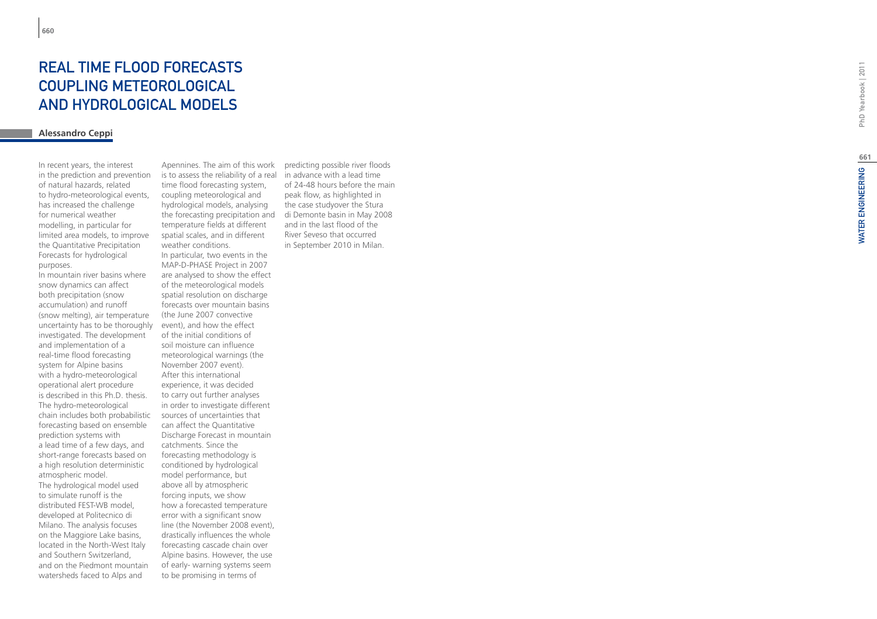# REAL TIME FLOOD FORECASTS COUPLING METEOROLOGICAL AND HYDROLOGICAL MODEL S

## **Alessandro Ceppi**

In recent years, the interest in the prediction and prevention of natural hazards, related to hydro-meteorological events, has increased the challenge for numerical weather modelling, in particular for limited area models, to improve the Quantitative Precipitation Forecasts for hydrological purposes.

In mountain river basins where snow dynamics can affect both precipitation (snow accumulation) and runoff (snow melting), air temperature uncertainty has to be thoroughly investigated. The development and implementation of a real-time flood forecasting system for Alpine basins with a hydro-meteorological operational alert procedure is described in this Ph.D. thesis. The hydro-meteorological chain includes both probabilistic forecasting based on ensemble prediction systems with a lead time of a few days, and short-range forecasts based on a high resolution deterministic atmospheric model. The hydrological model used to simulate runoff is the distributed FEST-WB model, developed at Politecnico di Milano. The analysis focuses on the Maggiore Lake basins, located in the North-West Italy and Southern Switzerland, and on the Piedmont mountain watersheds faced to Alps and

Apennines. The aim of this work is to assess the reliability of a real time flood forecasting system, coupling meteorological and hydrological models, analysing the forecasting precipitation and temperature fields at different spatial scales, and in different weather conditions. In particular, two events in the MAP-D-PHASE Project in 2007 are analysed to show the effect of the meteorological models spatial resolution on discharge forecasts over mountain basins (the June 2007 convective event), and how the effect of the initial conditions of soil moisture can influence meteorological warnings (the November 2007 event). After this international experience, it was decided to carry out further analyses in order to investigate different sources of uncertainties that can affect the Quantitative Discharge Forecast in mountain catchments. Since the forecasting methodology is conditioned by hydrological model performance, but above all by atmospheric forcing inputs, we show how a forecasted temperature error with a significant snow line (the November 2008 event), drastically influences the whole forecasting cascade chain over Alpine basins. However, the use of early- warning systems seem to be promising in terms of

predicting possible river floods in advance with a lead time of 24-48 hours before the main peak flow, as highlighted in the case studyover the Stura di Demonte basin in May 2008 and in the last flood of the River Seveso that occurred in September 2010 in Milan.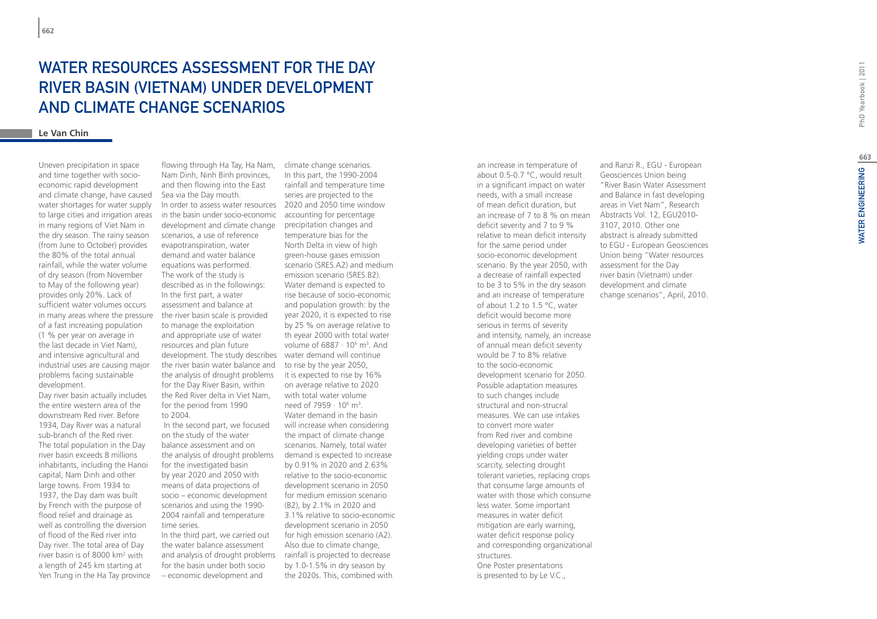Uneven precipitation in space and time together with socioeconomic rapid development and climate change, have caused water shortages for water supply to large cities and irrigation areas in many regions of Viet Nam in the dry season. The rainy season (from June to October) provides the 80% of the total annual rainfall, while the water volume of dry season (from November to May of the following year) provides only 20%. Lack of sufficient water volumes occurs in many areas where the pressure of a fast increasing population (1 % per year on average in the last decade in Viet Nam), and intensive agricultural and industrial uses are causing major problems facing sustainable development.

Day river basin actually includes the entire western area of the downstream Red river. Before 1934, Day River was a natural sub-branch of the Red river. The total population in the Day river basin exceeds 8 millions inhabitants, including the Hanoi capital, Nam Dinh and other large towns. From 1934 to 1937, the Day dam was built by French with the purpose of flood relief and drainage as well as controlling the diversion of flood of the Red river into Day river. The total area of Day river basin is of 8000 km<sup>2</sup> with a length of 245 km starting at Yen Trung in the Ha Tay province

flowing through Ha Tay, Ha Nam, Nam Dinh, Ninh Binh provinces, and then flowing into the East Sea via the Day mouth.

In order to assess water resources 2020 and 2050 time window in the basin under socio-economic development and climate change scenarios, a use of reference evapotranspiration, water demand and water balance equations was performed. The work of the study is described as in the followings: In the first part, a water assessment and balance at the river basin scale is provided to manage the exploitation and appropriate use of water resources and plan future development. The study describes water demand will continue the river basin water balance and the analysis of drought problems for the Day River Basin, within the Red River delta in Viet Nam, for the period from 1990 to 2004.

 In the second part, we focused on the study of the water balance assessment and on the analysis of drought problems for the investigated basin by year 2020 and 2050 with means of data projections of socio – economic development scenarios and using the 1990- 2004 rainfall and temperature time series.

In the third part, we carried out the water balance assessment and analysis of drought problems for the basin under both socio – economic development and

climate change scenarios. In this part, the 1990-2004 rainfall and temperature time series are projected to the accounting for percentage precipitation changes and temperature bias for the North Delta in view of high green-house gases emission scenario (SRES.A2) and medium emission scenario (SRES.B2). Water demand is expected to rise because of socio-economic and population growth: by the year 2020, it is expected to rise by 25 % on average relative to th eyear 2000 with total water volume of 6887 · 10<sup>6</sup> m<sup>3</sup>. And to rise by the year 2050, it is expected to rise by 16% on average relative to 2020 with total water volume need of 7959  $\cdot$  10 $^{6}$  m<sup>3</sup>. Water demand in the basin will increase when considering the impact of climate change scenarios. Namely, total water demand is expected to increase by 0.91% in 2020 and 2.63% relative to the socio-economic development scenario in 2050 for medium emission scenario (B2), by 2.1% in 2020 and 3.1% relative to socio-economic development scenario in 2050 for high emission scenario (A2). Also due to climate change, rainfall is projected to decrease by 1.0-1.5% in dry season by the 2020s. This, combined with

an increase in temperature of about 0.5-0.7 °C, would result in a significant impact on water needs, with a small increase of mean deficit duration, but an increase of 7 to 8 % on mean deficit severity and 7 to 9 % relative to mean deficit intensity for the same period under socio-economic development scenario. By the year 2050, with a decrease of rainfall expected to be 3 to 5% in the dry season and an increase of temperature of about 1.2 to 1.5 °C, water deficit would become more serious in terms of severity and intensity, namely, an increase of annual mean deficit severity would be 7 to 8% relative to the socio-economic development scenario for 2050. Possible adaptation measures to such changes include structural and non-strucral measures. We can use intakes to convert more water from Red river and combine developing varieties of better yielding crops under water scarcity, selecting drought tolerant varieties, replacing crops that consume large amounts of water with those which consume less water. Some important measures in water deficit mitigation are early warning, water deficit response policy and corresponding organizational structures. One Poster presentations is presented to by Le V.C.,

and Ranzi R., EGU - European Geosciences Union being "River Basin Water Assessment and Balance in fast developing areas in Viet Nam", Research Abstracts Vol. 12, EGU2010- 3107, 2010. Other one abstract is already submitted to EGU - European Geosciences Union being "Water resources assessment for the Day river basin (Vietnam) under development and climate change scenarios", April, 2010.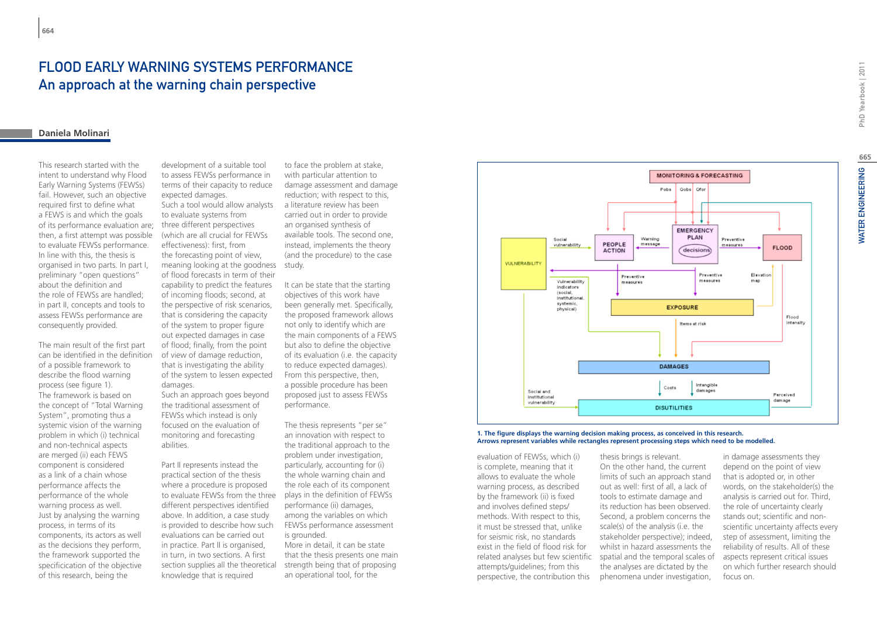# FLOOD EARLY WARNING SYSTEMS PERFORMANCE An approach at the warning chain perspective

### **Daniela Molinari**

This research started with the intent to understand why Flood Early Warning Systems (FEWSs) fail. However, such an objective required first to define what a FEWS is and which the goals of its performance evaluation are; then, a first attempt was possible to evaluate FEWSs performance. In line with this, the thesis is organised in two parts. In part I, preliminary "open questions" about the definition and the role of FEWSs are handled; in part II, concepts and tools to assess FEWSs performance are consequently provided.

The main result of the first part can be identified in the definition of a possible framework to describe the flood warning process (see figure 1). The framework is based on the concept of "Total Warning System", promoting thus a systemic vision of the warning problem in which (i) technical and non-technical aspects are merged (ii) each FEWS component is considered as a link of a chain whose performance affects the performance of the whole warning process as well. Just by analysing the warning process, in terms of its components, its actors as well as the decisions they perform, the framework supported the specificication of the objective of this research, being the

development of a suitable tool to assess FEWSs performance in terms of their capacity to reduce expected damages.

Such a tool would allow analysts to evaluate systems from three different perspectives (which are all crucial for FEWSs effectiveness): first, from the forecasting point of view, meaning looking at the goodness study. of flood forecasts in term of their capability to predict the features of incoming floods; second, at the perspective of risk scenarios, that is considering the capacity of the system to proper figure out expected damages in case of flood; finally, from the point of view of damage reduction, that is investigating the ability of the system to lessen expected damages.

Such an approach goes beyond the traditional assessment of FEWSs which instead is only focused on the evaluation of monitoring and forecasting abilities.

Part II represents instead the practical section of the thesis where a procedure is proposed to evaluate FEWSs from the three different perspectives identified above. In addition, a case study is provided to describe how such evaluations can be carried out in practice. Part II is organised, in turn, in two sections. A first section supplies all the theoretical knowledge that is required

to face the problem at stake, with particular attention to damage assessment and damage reduction; with respect to this, a literature review has been carried out in order to provide an organised synthesis of available tools. The second one, instead, implements the theory (and the procedure) to the case

It can be state that the starting objectives of this work have been generally met. Specifically, the proposed framework allows not only to identify which are the main components of a FEWS but also to define the objective of its evaluation (i.e. the capacity to reduce expected damages). From this perspective, then, a possible procedure has been proposed just to assess FEWSs performance.

The thesis represents "per se" an innovation with respect to the traditional approach to the problem under investigation, particularly, accounting for (i) the whole warning chain and the role each of its component plays in the definition of FEWSs performance (ii) damages, among the variables on which FEWSs performance assessment is grounded.

More in detail, it can be state that the thesis presents one main strength being that of proposing an operational tool, for the



**1. The figure displays the warning decision making process, as conceived in this research. Arrows represent variables while rectangles represent processing steps which need to be modelled.**

evaluation of FEWSs, which (i) is complete, meaning that it allows to evaluate the whole warning process, as described by the framework (ii) is fixed and involves defined steps/ methods. With respect to this, it must be stressed that, unlike for seismic risk, no standards exist in the field of flood risk for attempts/guidelines; from this perspective, the contribution this

related analyses but few scientific spatial and the temporal scales of thesis brings is relevant. On the other hand, the current limits of such an approach stand out as well: first of all, a lack of tools to estimate damage and its reduction has been observed. Second, a problem concerns the scale(s) of the analysis (i.e. the stakeholder perspective); indeed, whilst in hazard assessments the the analyses are dictated by the phenomena under investigation,

in damage assessments they depend on the point of view that is adopted or, in other words, on the stakeholder(s) the analysis is carried out for. Third, the role of uncertainty clearly stands out; scientific and nonscientific uncertainty affects every step of assessment, limiting the reliability of results. All of these aspects represent critical issues on which further research should focus on.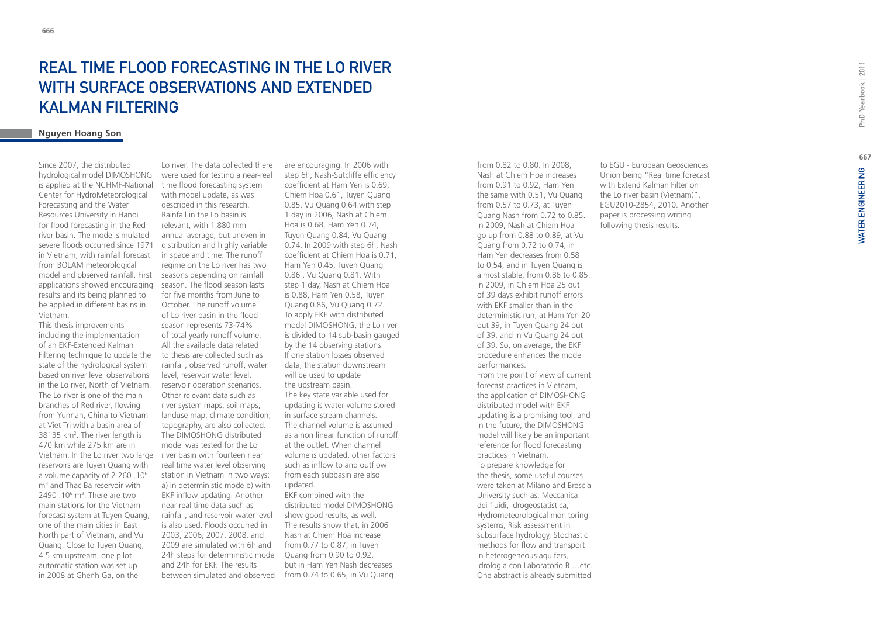# **REAL TIME FLOOD F<br>WITH SURFACE OBS<br>KALMAN FILTERING<br><sub>Nguyen Hoang Son**</sub> STING IN THE LO RIVE WITH SURFACE OBSERVATIONS AND EXT Kalman Filtering

Since 2007, the distributed hydrological model DIMOSHONG is applied at the NCHMF-National Center for HydroMeteorological Forecasting and the Water Resources University in Hanoi for flood forecasting in the Red river basin. The model simulated severe floods occurred since 1971 in Vietnam, with rainfall forecast from BOLAM meteorological model and observed rainfall. First applications showed encouraging results and its being planned to be applied in different basins in Vietnam.

This thesis improvements including the implementation of an EKF-Extended Kalman Filtering technique to update the state of the hydrological system based on river level observations in the Lo river, North of Vietnam. The Lo river is one of the main branches of Red river, flowing from Yunnan, China to Vietnam at Viet Tri with a basin area of 38135 km 2 . The river length is 470 km while 275 km are in Vietnam. In the Lo river two large reservoirs are Tuyen Quang with a volume capacity of 2 260 .10 6 m 3 and Thac Ba reservoir with  $2490.10^6$  m<sup>3</sup>. There are two main stations for the Vietnam forecast system at Tuyen Quang, one of the main cities in East North part of Vietnam, and Vu Quang. Close to Tuyen Quang, 4.5 km upstream, one pilot automatic station was set up in 2008 at Ghenh Ga, on the

Lo river. The data collected there were used for testing a near-real time flood forecasting system with model update, as was described in this research. Rainfall in the Lo basin is relevant, with 1,880 mm annual average, but uneven in distribution and highly variable in space and time. The runoff regime on the Lo river has two seasons depending on rainfall season. The flood season lasts for five months from June to October. The runoff volume of Lo river basin in the flood season represents 73-74% of total yearly runoff volume. All the available data related to thesis are collected such as rainfall, observed runoff, water level, reservoir water level, reservoir operation scenarios. Other relevant data such as river system maps, soil maps, landuse map, climate condition, topography, are also collected. The DIMOSHONG distributed model was tested for the Lo river basin with fourteen near real time water level observing station in Vietnam in two ways: a) in deterministic mode b) with EKF inflow updating. Another near real time data such as rainfall, and reservoir water level is also used. Floods occurred in 2003, 2006, 2007, 2008, and 2009 are simulated with 6h and 24h steps for deterministic mode and 24h for EKF. The results

between simulated and observed from 0.74 to 0.65, in Vu Quang are encouraging. In 2006 with step 6h, Nash-Sutcliffe efficiency coefficient at Ham Yen is 0.69, Chiem Hoa 0.61, Tuyen Quang 0.85, Vu Quang 0.64.with step 1 day in 2006, Nash at Chiem Hoa is 0.68, Ham Yen 0.74, Tuyen Quang 0.84, Vu Quang 0.74. In 2009 with step 6h, Nash coefficient at Chiem Hoa is 0.71, Ham Yen 0.45, Tuyen Quang 0.86 , Vu Quang 0.81. With step 1 day, Nash at Chiem Hoa is 0.88, Ham Yen 0.58, Tuyen Quang 0.86, Vu Quang 0.72. To apply EKF with distributed model DIMOSHONG, the Lo river is divided to 14 sub-basin gauged by the 14 observing stations. If one station losses observed data, the station downstream will be used to update the upstream basin. The key state variable used for updating is water volume stored in surface stream channels. The channel volume is assumed as a non linear function of runoff at the outlet. When channel volume is updated, other factors such as inflow to and outflow from each subbasin are also updated. EKF combined with the distributed model DIMOSHONG show good results, as well. The results show that, in 2006 Nash at Chiem Hoa increase from 0.77 to 0.87, in Tuyen Quang from 0.90 to 0.92, but in Ham Yen Nash decreases

from 0.82 to 0.80. In 2008, Nash at Chiem Hoa increases from 0.91 to 0.92, Ham Yen the same with 0.51, Vu Quang from 0.57 to 0.73, at Tuyen Quang Nash from 0.72 to 0.85. In 2009, Nash at Chiem Hoa go up from 0.88 to 0.89, at Vu Quang from 0.72 to 0.74, in Ham Yen decreases from 0.58 to 0.54, and in Tuyen Quang is almost stable, from 0.86 to 0.85. In 2009, in Chiem Hoa 25 out of 39 days exhibit runoff errors with EKF smaller than in the deterministic run, at Ham Yen 20 out 39, in Tuyen Quang 24 out of 39, and in Vu Quang 24 out of 39. So, on average, the EKF procedure enhances the model performances. From the point of view of current forecast practices in Vietnam, the application of DIMOSHONG distributed model with EKF updating is a promising tool, and in the future, the DIMOSHONG model will likely be an important reference for flood forecasting practices in Vietnam. To prepare knowledge for the thesis, some useful courses were taken at Milano and Brescia University such as: Meccanica dei fluidi, Idrogeostatistica, Hydrometeorological monitoring systems, Risk assessment in subsurface hydrology, Stochastic methods for flow and transport in heterogeneous aquifers, Idrologia con Laboratorio B …etc. One abstract is already submitted

to EGU - European Geosciences Union being "Real time forecast with Extend Kalman Filter on the Lo river basin (Vietnam)", EGU2010-2854, 2010. Another paper is processing writing following thesis results.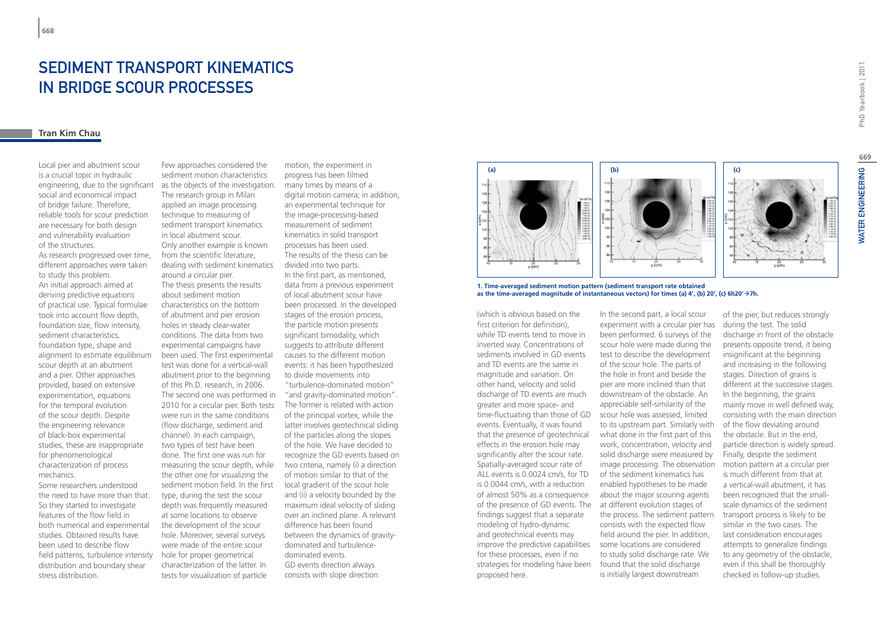# Sediment transport kinematics in bridge scour processes

# **Tran kim Chau**

Local pier and abutment scour is a crucial topic in hydraulic engineering, due to the significant social and economical impact of bridge failure. Therefore, reliable tools for scour prediction are necessary for both design and vulnerability evaluation of the structures. As research progressed over time, different approaches were taken to study this problem. An initial approach aimed at deriving predictive equations of practical use. Typical formulae took into account flow depth, foundation size, flow intensity, sediment characteristics, foundation type, shape and alignment to estimate equilibrium scour depth at an abutment and a pier. Other approaches provided, based on extensive experimentation, equations for the temporal evolution of the scour depth. Despite the engineering relevance

of black-box experimental studies, these are inappropriate

Some researchers understood

So they started to investigate features of the flow field in

studies. Obtained results have been used to describe flow

distribution and boundary shear

stress distribution.

for phenomenological characterization of process

mechanics.

the need to have more than that. both numerical and experimental field patterns, turbulence intensity sediment transport kinematics in local abutment scour. Only another example is known from the scientific literature, dealing with sediment kinematics around a circular pier. The thesis presents the results about sediment motion characteristics on the bottom of abutment and pier erosion holes in steady clear-water conditions. The data from two experimental campaigns have been used. The first experimental test was done for a vertical-wall abutment prior to the beginning of this Ph.D. research, in 2006. The second one was performed in 2010 for a circular pier. Both tests were run in the same conditions (flow discharge, sediment and channel). In each campaign, two types of test have been done. The first one was run for measuring the scour depth, while the other one for visualizing the sediment motion field. In the first type, during the test the scour depth was frequently measured at some locations to observe the development of the scour hole. Moreover, several surveys were made of the entire scour hole for proper geometrical characterization of the latter. In tests for visualization of particle

Few approaches considered the sediment motion characteristics as the objects of the investigation. The research group in Milan applied an image processing technique to measuring of

motion, the experiment in progress has been filmed many times by means of a digital motion camera; in addition, an experimental technique for the image-processing-based measurement of sediment kinematics in solid transport processes has been used. The results of the thesis can be divided into two parts. In the first part, as mentioned, data from a previous experiment of local abutment scour have been processed. In the developed stages of the erosion process, the particle motion presents significant bimodality, which suggests to attribute different causes to the different motion events: it has been hypothesized to divide movements into "turbulence-dominated motion"

"and gravity-dominated motion". The former is related with action of the principal vortex, while the latter involves geotechnical sliding of the particles along the slopes of the hole. We have decided to recognize the GD events based on two criteria, namely (i) a direction of motion similar to that of the local gradient of the scour hole and (ii) a velocity bounded by the maximum ideal velocity of sliding over an inclined plane. A relevant difference has been found between the dynamics of gravitydominated and turbulencedominated events. GD events direction always consists with slope direction



**1. Time-averaged sediment motion pattern (sediment transport rate obtained as the time-averaged magnitude of instantaneous vectors) for times (a) 4', (b) 20', (c) 6h20'7h.**

(which is obvious based on the first criterion for definition) while TD events tend to move in inverted way. Concentrations of sediments involved in GD events and TD events are the same in magnitude and variation. On other hand, velocity and solid discharge of TD events are much greater and more space- and time-fluctuating than those of GD events. Eventually, it was found that the presence of geotechnical effects in the erosion hole may significantly alter the scour rate. Spatially-averaged scour rate of ALL events is 0.0024 cm/s, for TD is 0.0044 cm/s, with a reduction of almost 50% as a consequence of the presence of GD events. The at different evolution stages of findings suggest that a separate modeling of hydro-dynamic and geotechnical events may improve the predictive capabilities for these processes, even if no strategies for modeling have been found that the solid discharge proposed here.

In the second part, a local scour experiment with a circular pier has been performed. 6 surveys of the scour hole were made during the test to describe the development of the scour hole. The parts of the hole in front and beside the pier are more inclined than that downstream of the obstacle. An appreciable self-similarity of the scour hole was assessed, limited to its upstream part. Similarly with what done in the first part of this work, concentration, velocity and solid discharge were measured by image processing. The observation of the sediment kinematics has enabled hypotheses to be made about the major scouring agents the process. The sediment pattern consists with the expected flow field around the pier. In addition, some locations are considered to study solid discharge rate. We is initially largest downstream

of the pier, but reduces strongly during the test. The solid discharge in front of the obstacle presents opposite trend, it being insignificant at the beginning and increasing in the following stages. Direction of grains is different at the successive stages. In the beginning, the grains mainly move in well defined way, consisting with the main direction of the flow deviating around the obstacle. But in the end, particle direction is widely spread. Finally, despite the sediment motion pattern at a circular pier is much different from that at a vertical-wall abutment, it has been recognized that the smallscale dynamics of the sediment transport process is likely to be similar in the two cases. The last consideration encourages attempts to generalize findings to any geometry of the obstacle, even if this shall be thoroughly checked in follow-up studies.